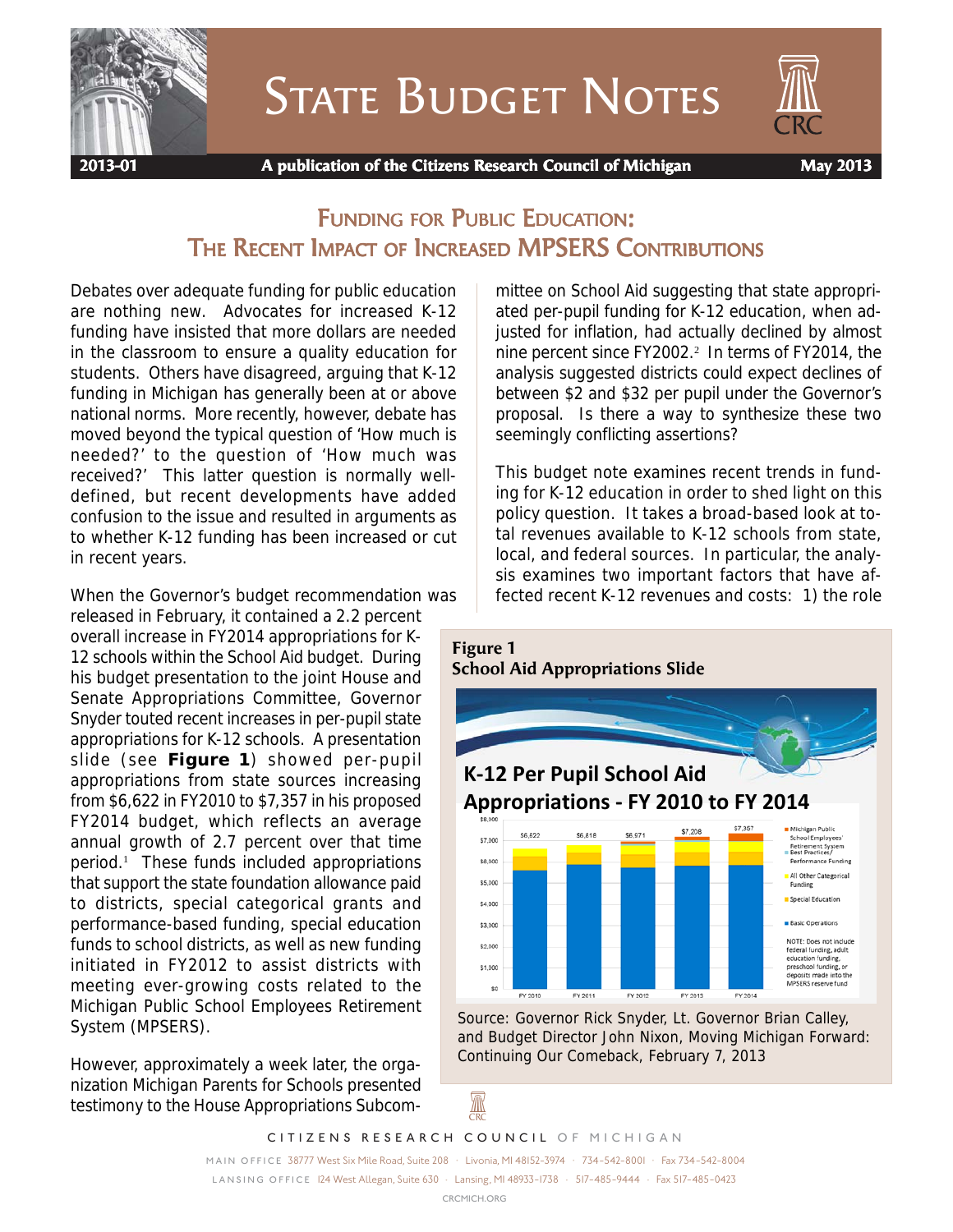

# **STATE BUDGET NOTES**



 **2013-01 A publication of the Citizens Research Council of Michigan May 2013**

## FUNDING FOR PUBLIC EDUCATION: THE RECENT IMPACT OF INCREASED MPSERS CONTRIBUTIONS

Debates over adequate funding for public education are nothing new. Advocates for increased K-12 funding have insisted that more dollars are needed in the classroom to ensure a quality education for students. Others have disagreed, arguing that K-12 funding in Michigan has generally been at or above national norms. More recently, however, debate has moved beyond the typical question of 'How much is needed?' to the question of 'How much was received?' This latter question is normally welldefined, but recent developments have added confusion to the issue and resulted in arguments as to whether K-12 funding has been increased or cut in recent years.

When the Governor's budget recommendation was released in February, it contained a 2.2 percent overall increase in FY2014 appropriations for K-12 schools within the School Aid budget. During his budget presentation to the joint House and Senate Appropriations Committee, Governor Snyder touted recent increases in per-pupil state appropriations for K-12 schools. A presentation slide (see **Figure 1**) showed per-pupil appropriations from state sources increasing from \$6,622 in FY2010 to \$7,357 in his proposed FY2014 budget, which reflects an average annual growth of 2.7 percent over that time period.<sup>1</sup> These funds included appropriations that support the state foundation allowance paid to districts, special categorical grants and performance-based funding, special education funds to school districts, as well as new funding initiated in FY2012 to assist districts with meeting ever-growing costs related to the Michigan Public School Employees Retirement System (MPSERS).

However, approximately a week later, the organization Michigan Parents for Schools presented testimony to the House Appropriations Subcommittee on School Aid suggesting that state appropriated per-pupil funding for K-12 education, when adjusted for inflation, had actually declined by almost nine percent since FY2002.<sup>2</sup> In terms of FY2014, the analysis suggested districts could expect declines of between \$2 and \$32 per pupil under the Governor's proposal. Is there a way to synthesize these two seemingly conflicting assertions?

This budget note examines recent trends in funding for K-12 education in order to shed light on this policy question. It takes a broad-based look at total revenues available to K-12 schools from state, local, and federal sources. In particular, the analysis examines two important factors that have affected recent K-12 revenues and costs: 1) the role



Source: Governor Rick Snyder, Lt. Governor Brian Calley, and Budget Director John Nixon, Moving Michigan Forward: Continuing Our Comeback, February 7, 2013

A

*CITIZENS RESEARCH COUNCIL OF MICHIGAN*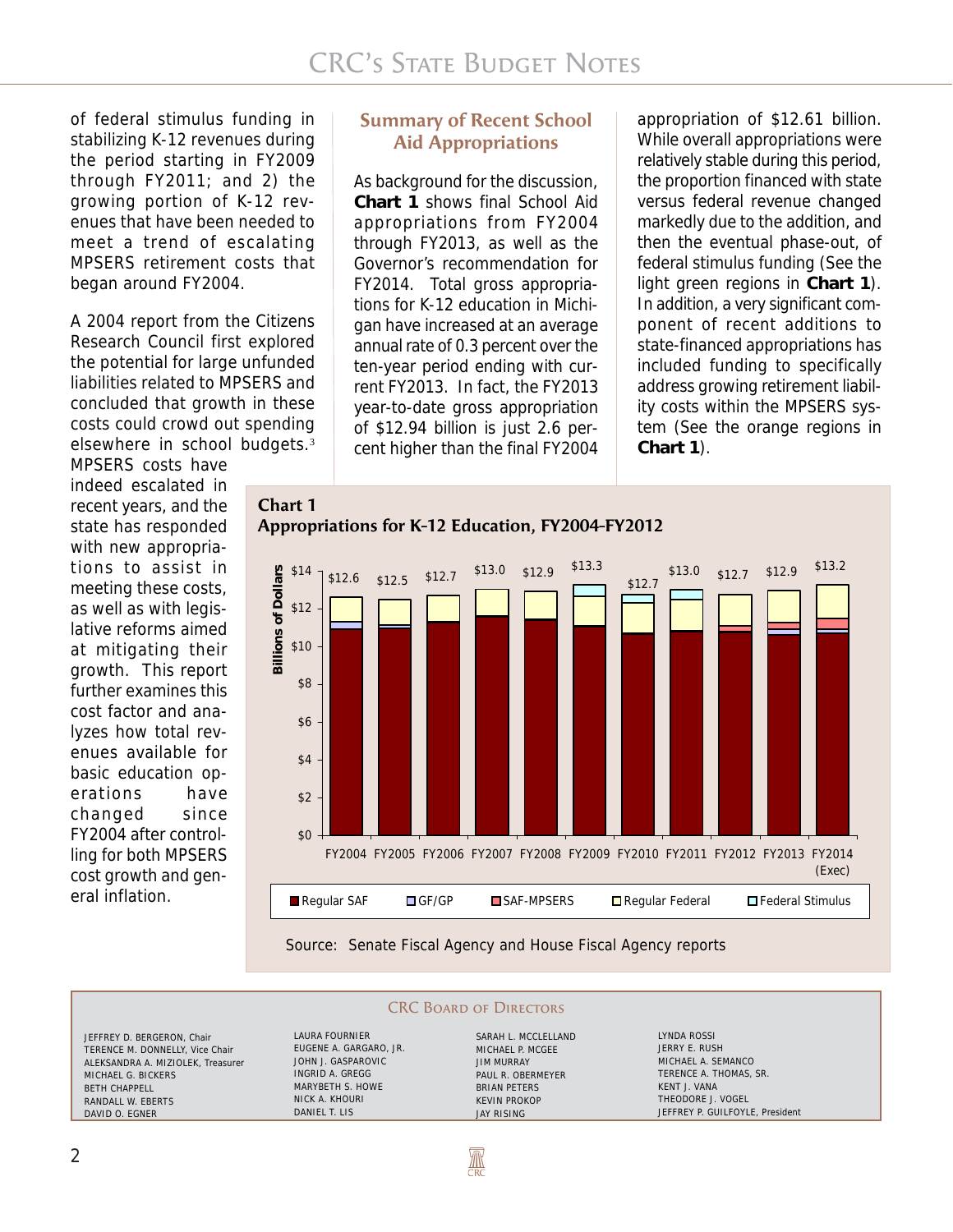of federal stimulus funding in stabilizing K-12 revenues during the period starting in FY2009 through FY2011; and 2) the growing portion of K-12 revenues that have been needed to meet a trend of escalating MPSERS retirement costs that began around FY2004.

A 2004 report from the Citizens Research Council first explored the potential for large unfunded liabilities related to MPSERS and concluded that growth in these costs could crowd out spending elsewhere in school budgets.<sup>3</sup>

MPSERS costs have indeed escalated in recent years, and the state has responded with new appropriations to assist in meeting these costs, as well as with legislative reforms aimed at mitigating their growth. This report further examines this cost factor and analyzes how total revenues available for basic education operations have changed since FY2004 after controlling for both MPSERS cost growth and general inflation.

### **Summary of Recent School Aid Appropriations**

As background for the discussion, **Chart 1** shows final School Aid appropriations from FY2004 through FY2013, as well as the Governor's recommendation for FY2014. Total gross appropriations for K-12 education in Michigan have increased at an average annual rate of 0.3 percent over the ten-year period ending with current FY2013. In fact, the FY2013 year-to-date gross appropriation of \$12.94 billion is just 2.6 percent higher than the final FY2004

appropriation of \$12.61 billion. While overall appropriations were relatively stable during this period, the proportion financed with state versus federal revenue changed markedly due to the addition, and then the eventual phase-out, of federal stimulus funding (See the light green regions in **Chart 1**). In addition, a very significant component of recent additions to state-financed appropriations has included funding to specifically address growing retirement liability costs within the MPSERS system (See the orange regions in **Chart 1**).

**Chart 1 Billions of Dollars** \$14 **Billions of Dollars** \$12 \$10 \$8 \$6 \$4 \$2 \$0

Source: Senate Fiscal Agency and House Fiscal Agency reports

**CRC BOARD OF DIRECTORS** 

**AN** 

JEFFREY D. BERGERON, Chair TERENCE M. DONNELLY, Vice Chair ALEKSANDRA A. MIZIOLEK, Treasurer MICHAEL G. BICKERS BETH CHAPPELL RANDALL W. EBERTS DAVID O. EGNER

LAURA FOURNIER EUGENE A. GARGARO, JR. JOHN J. GASPAROVIC INGRID A. GREGG MARYBETH S. HOWE NICK A. KHOURI DANIEL T. LIS

SARAH L. MCCLELLAND MICHAEL P. MCGEE JIM MURRAY PAUL R. OBERMEYER BRIAN PETERS KEVIN PROKOP JAY RISING

LYNDA ROSSI JERRY E. RUSH MICHAEL A. SEMANCO TERENCE A. THOMAS, SR. KENT J. VANA THEODORE J. VOGEL JEFFREY P. GUILFOYLE, President

## **Appropriations for K-12 Education, FY2004-FY2012**

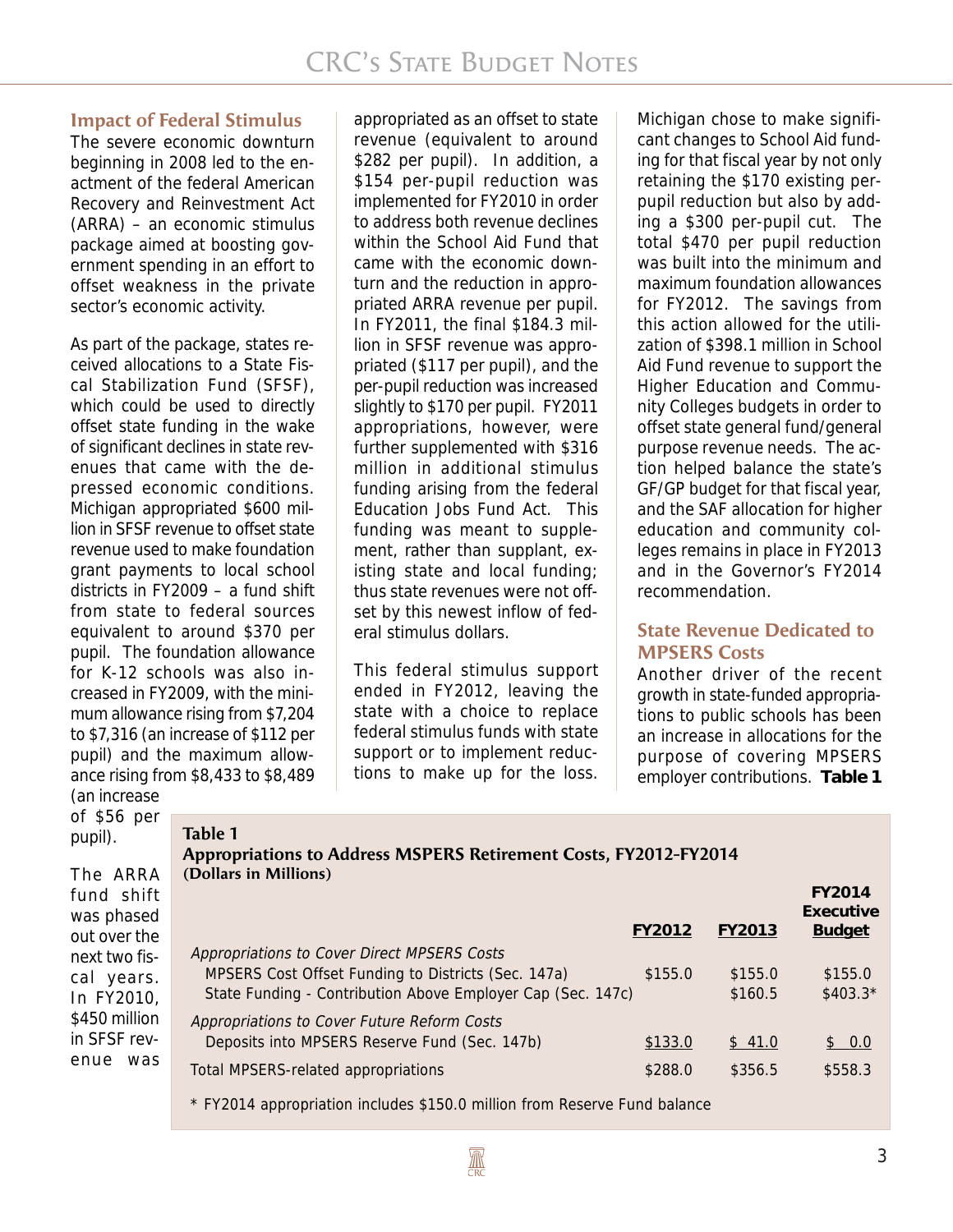#### **Impact of Federal Stimulus**

The severe economic downturn beginning in 2008 led to the enactment of the federal American Recovery and Reinvestment Act (ARRA) – an economic stimulus package aimed at boosting government spending in an effort to offset weakness in the private sector's economic activity.

As part of the package, states received allocations to a State Fiscal Stabilization Fund (SFSF), which could be used to directly offset state funding in the wake of significant declines in state revenues that came with the depressed economic conditions. Michigan appropriated \$600 million in SFSF revenue to offset state revenue used to make foundation grant payments to local school districts in FY2009 – a fund shift from state to federal sources equivalent to around \$370 per pupil. The foundation allowance for K-12 schools was also increased in FY2009, with the minimum allowance rising from \$7,204 to \$7,316 (an increase of \$112 per pupil) and the maximum allowance rising from \$8,433 to \$8,489 (an increase

**Table 1**

appropriated as an offset to state revenue (equivalent to around \$282 per pupil). In addition, a \$154 per-pupil reduction was implemented for FY2010 in order to address both revenue declines within the School Aid Fund that came with the economic downturn and the reduction in appropriated ARRA revenue per pupil. In FY2011, the final \$184.3 million in SFSF revenue was appropriated (\$117 per pupil), and the per-pupil reduction was increased slightly to \$170 per pupil. FY2011 appropriations, however, were further supplemented with \$316 million in additional stimulus funding arising from the federal Education Jobs Fund Act. This funding was meant to supplement, rather than supplant, existing state and local funding; thus state revenues were not offset by this newest inflow of federal stimulus dollars.

This federal stimulus support ended in FY2012, leaving the state with a choice to replace federal stimulus funds with state support or to implement reductions to make up for the loss.

Michigan chose to make significant changes to School Aid funding for that fiscal year by not only retaining the \$170 existing perpupil reduction but also by adding a \$300 per-pupil cut. The total \$470 per pupil reduction was built into the minimum and maximum foundation allowances for FY2012. The savings from this action allowed for the utilization of \$398.1 million in School Aid Fund revenue to support the Higher Education and Community Colleges budgets in order to offset state general fund/general purpose revenue needs. The action helped balance the state's GF/GP budget for that fiscal year, and the SAF allocation for higher education and community colleges remains in place in FY2013 and in the Governor's FY2014 recommendation.

## **State Revenue Dedicated to MPSERS Costs**

Another driver of the recent growth in state-funded appropriations to public schools has been an increase in allocations for the purpose of covering MPSERS employer contributions. **Table 1**

of \$56 per pupil).

The ARRA fund shift was phased out over the next two fiscal years. In FY2010, \$450 million in SFSF revenue was

## **Appropriations to Address MSPERS Retirement Costs, FY2012-FY2014 (Dollars in Millions)**

|                                                             |         |         | Executive     |
|-------------------------------------------------------------|---------|---------|---------------|
|                                                             | FY2012  | FY2013  | <b>Budget</b> |
| Appropriations to Cover Direct MPSERS Costs                 |         |         |               |
| MPSERS Cost Offset Funding to Districts (Sec. 147a)         | \$155.0 | \$155.0 | \$155.0       |
| State Funding - Contribution Above Employer Cap (Sec. 147c) |         | \$160.5 | $$403.3*$     |
| Appropriations to Cover Future Reform Costs                 |         |         |               |
| Deposits into MPSERS Reserve Fund (Sec. 147b)               | \$133.0 | \$41.0  | \$0.0         |
| Total MPSERS-related appropriations                         | \$288.0 | \$356.5 | \$558.3       |
|                                                             |         |         |               |

\* FY2014 appropriation includes \$150.0 million from Reserve Fund balance

**FY2014**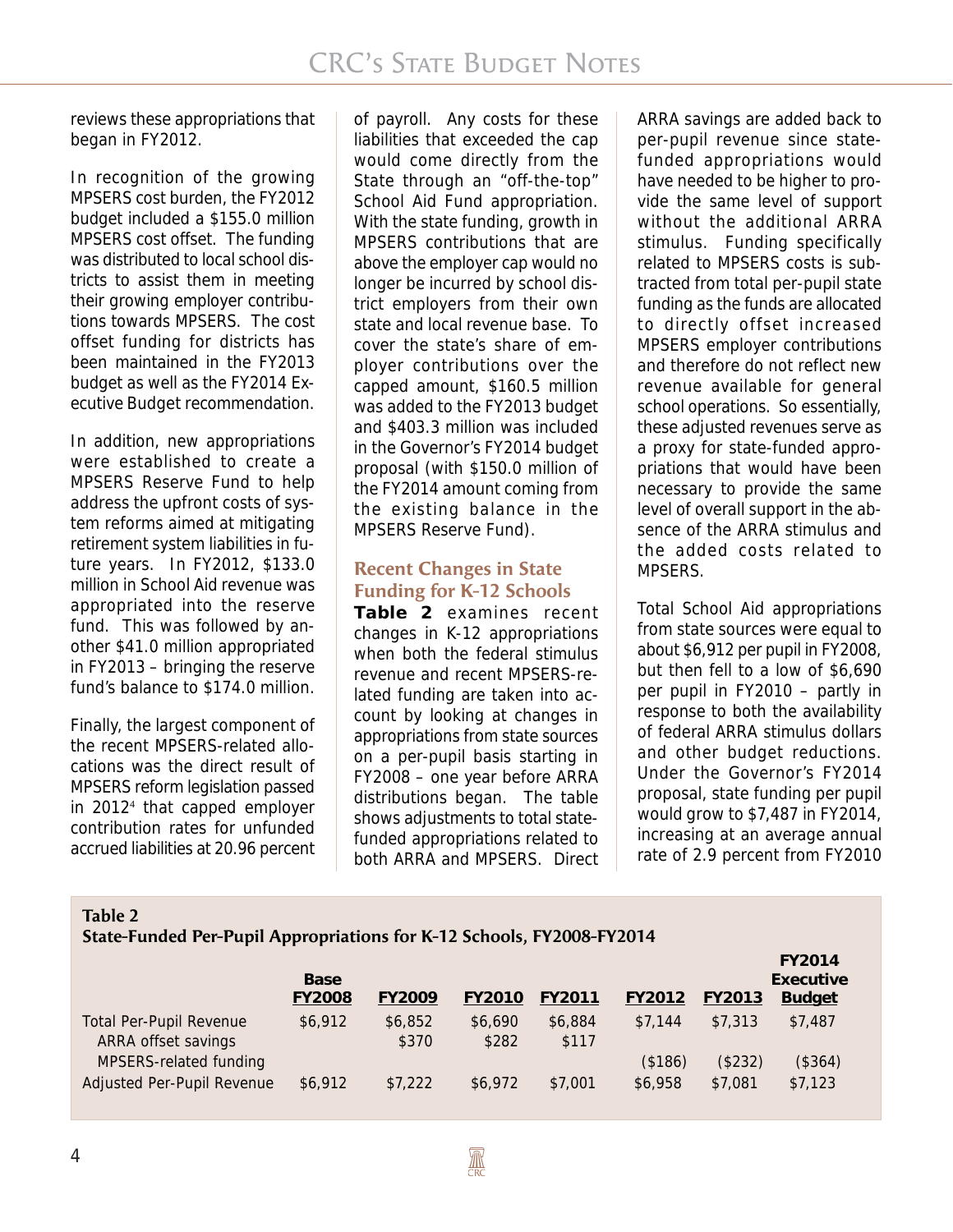reviews these appropriations that began in FY2012.

In recognition of the growing MPSERS cost burden, the FY2012 budget included a \$155.0 million MPSERS cost offset. The funding was distributed to local school districts to assist them in meeting their growing employer contributions towards MPSERS. The cost offset funding for districts has been maintained in the FY2013 budget as well as the FY2014 Executive Budget recommendation.

In addition, new appropriations were established to create a MPSERS Reserve Fund to help address the upfront costs of system reforms aimed at mitigating retirement system liabilities in future years. In FY2012, \$133.0 million in School Aid revenue was appropriated into the reserve fund. This was followed by another \$41.0 million appropriated in FY2013 – bringing the reserve fund's balance to \$174.0 million.

Finally, the largest component of the recent MPSERS-related allocations was the direct result of MPSERS reform legislation passed in 2012<sup>4</sup> that capped employer contribution rates for unfunded accrued liabilities at 20.96 percent

of payroll. Any costs for these liabilities that exceeded the cap would come directly from the State through an "off-the-top" School Aid Fund appropriation. With the state funding, growth in MPSERS contributions that are above the employer cap would no longer be incurred by school district employers from their own state and local revenue base. To cover the state's share of employer contributions over the capped amount, \$160.5 million was added to the FY2013 budget and \$403.3 million was included in the Governor's FY2014 budget proposal (with \$150.0 million of the FY2014 amount coming from the existing balance in the MPSERS Reserve Fund).

## **Recent Changes in State Funding for K-12 Schools**

**Table 2** examines recent changes in K-12 appropriations when both the federal stimulus revenue and recent MPSERS-related funding are taken into account by looking at changes in appropriations from state sources on a per-pupil basis starting in FY2008 – one year before ARRA distributions began. The table shows adjustments to total statefunded appropriations related to both ARRA and MPSERS. Direct ARRA savings are added back to per-pupil revenue since statefunded appropriations would have needed to be higher to provide the same level of support without the additional ARRA stimulus. Funding specifically related to MPSERS costs is subtracted from total per-pupil state funding as the funds are allocated to directly offset increased MPSERS employer contributions and therefore do not reflect new revenue available for general school operations. So essentially, these adjusted revenues serve as a proxy for state-funded appropriations that would have been necessary to provide the same level of overall support in the absence of the ARRA stimulus and the added costs related to MPSERS.

Total School Aid appropriations from state sources were equal to about \$6,912 per pupil in FY2008, but then fell to a low of \$6,690 per pupil in FY2010 – partly in response to both the availability of federal ARRA stimulus dollars and other budget reductions. Under the Governor's FY2014 proposal, state funding per pupil would grow to \$7,487 in FY2014, increasing at an average annual rate of 2.9 percent from FY2010

#### **Table 2 State-Funded Per-Pupil Appropriations for K-12 Schools, FY2008-FY2014**

|                                                       |                              |                  |                  |                  |               |         | <b>FY2014</b>              |
|-------------------------------------------------------|------------------------------|------------------|------------------|------------------|---------------|---------|----------------------------|
|                                                       | <b>Base</b><br><b>FY2008</b> | <b>FY2009</b>    | <b>FY2010</b>    | <b>FY2011</b>    | <b>FY2012</b> | FY2013  | Executive<br><b>Budget</b> |
| <b>Total Per-Pupil Revenue</b><br>ARRA offset savings | \$6,912                      | \$6,852<br>\$370 | \$6,690<br>\$282 | \$6,884<br>\$117 | \$7.144       | \$7,313 | \$7,487                    |
| MPSERS-related funding                                |                              |                  |                  |                  | (\$186)       | (\$232) | (\$364)                    |
| Adjusted Per-Pupil Revenue                            | \$6,912                      | \$7,222          | \$6,972          | \$7,001          | \$6,958       | \$7,081 | \$7,123                    |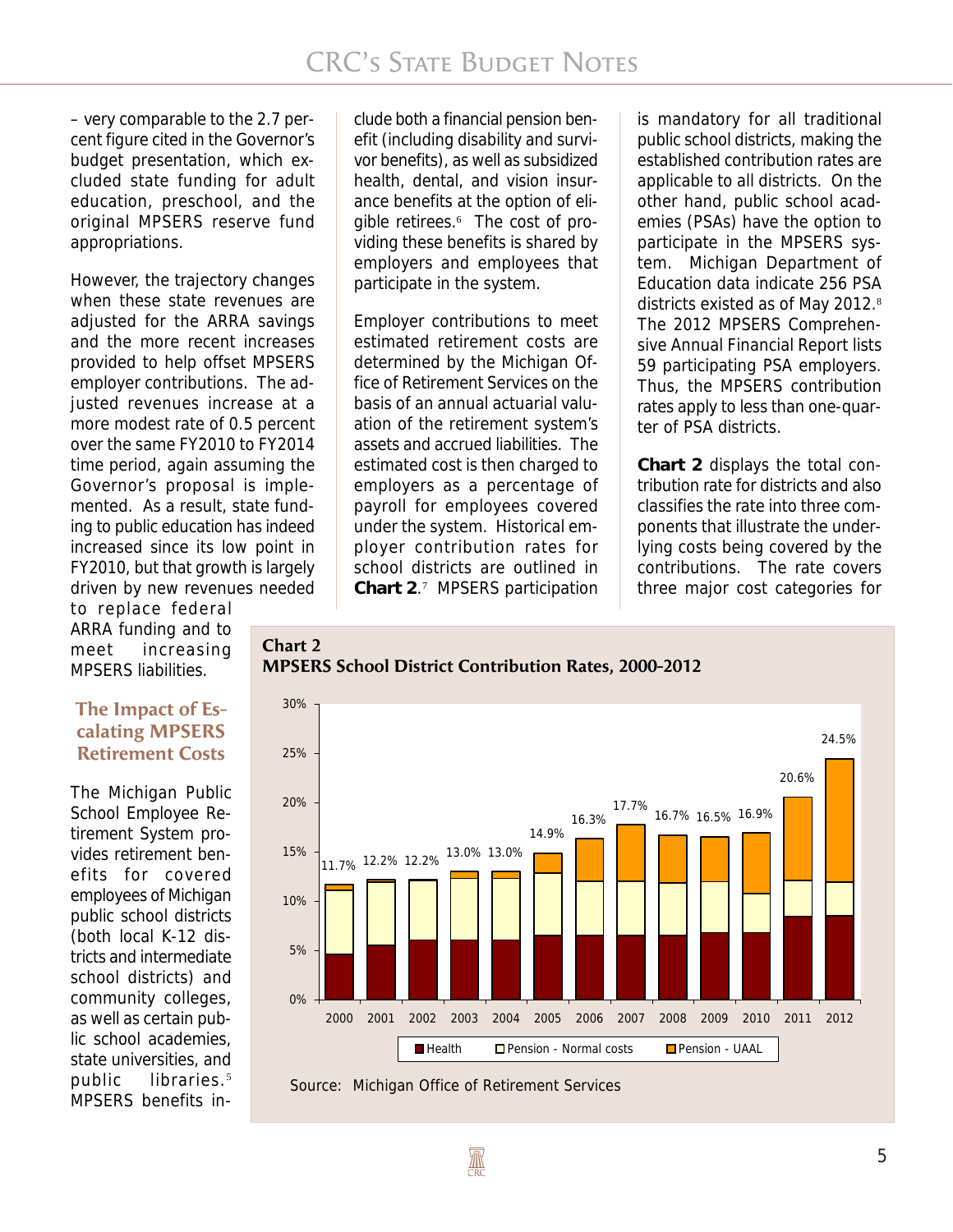– very comparable to the 2.7 percent figure cited in the Governor's budget presentation, which excluded state funding for adult education, preschool, and the original MPSERS reserve fund appropriations.

However, the trajectory changes when these state revenues are adjusted for the ARRA savings and the more recent increases provided to help offset MPSERS employer contributions. The adjusted revenues increase at a more modest rate of 0.5 percent over the same FY2010 to FY2014 time period, again assuming the Governor's proposal is implemented. As a result, state funding to public education has indeed increased since its low point in FY2010, but that growth is largely driven by new revenues needed

to replace federal ARRA funding and to meet increasing MPSERS liabilities.

### **The Impact of Escalating MPSERS Retirement Costs**

The Michigan Public School Employee Retirement System provides retirement benefits for covered employees of Michigan public school districts (both local K-12 districts and intermediate school districts) and community colleges, as well as certain public school academies, state universities, and public libraries.<sup>5</sup> MPSERS benefits include both a financial pension benefit (including disability and survivor benefits), as well as subsidized health, dental, and vision insurance benefits at the option of eligible retirees.<sup>6</sup> The cost of providing these benefits is shared by employers and employees that participate in the system.

Employer contributions to meet estimated retirement costs are determined by the Michigan Office of Retirement Services on the basis of an annual actuarial valuation of the retirement system's assets and accrued liabilities. The estimated cost is then charged to employers as a percentage of payroll for employees covered under the system. Historical employer contribution rates for school districts are outlined in **Chart 2**. 7 MPSERS participation

is mandatory for all traditional public school districts, making the established contribution rates are applicable to all districts. On the other hand, public school academies (PSAs) have the option to participate in the MPSERS system. Michigan Department of Education data indicate 256 PSA districts existed as of May 2012.<sup>8</sup> The 2012 MPSERS Comprehensive Annual Financial Report lists 59 participating PSA employers. Thus, the MPSERS contribution rates apply to less than one-quarter of PSA districts.

**Chart 2** displays the total contribution rate for districts and also classifies the rate into three components that illustrate the underlying costs being covered by the contributions. The rate covers three major cost categories for

#### **Chart 2 MPSERS School District Contribution Rates, 2000-2012**



Source: Michigan Office of Retirement Services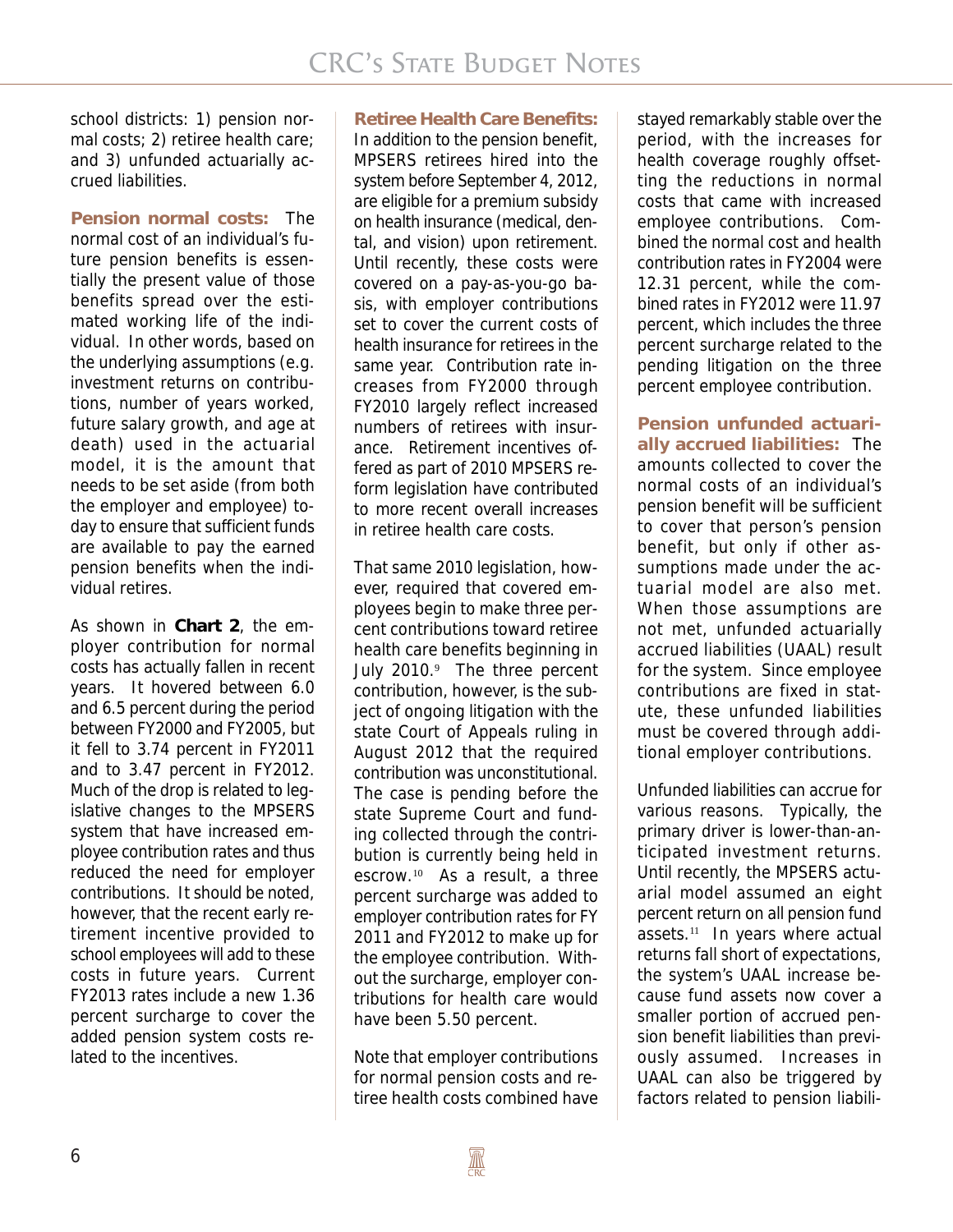school districts: 1) pension normal costs; 2) retiree health care; and 3) unfunded actuarially accrued liabilities.

**Pension normal costs:** The normal cost of an individual's future pension benefits is essentially the present value of those benefits spread over the estimated working life of the individual. In other words, based on the underlying assumptions (e.g. investment returns on contributions, number of years worked, future salary growth, and age at death) used in the actuarial model, it is the amount that needs to be set aside (from both the employer and employee) today to ensure that sufficient funds are available to pay the earned pension benefits when the individual retires.

As shown in **Chart 2**, the employer contribution for normal costs has actually fallen in recent years. It hovered between 6.0 and 6.5 percent during the period between FY2000 and FY2005, but it fell to 3.74 percent in FY2011 and to 3.47 percent in FY2012. Much of the drop is related to legislative changes to the MPSERS system that have increased employee contribution rates and thus reduced the need for employer contributions. It should be noted, however, that the recent early retirement incentive provided to school employees will add to these costs in future years. Current FY2013 rates include a new 1.36 percent surcharge to cover the added pension system costs related to the incentives.

#### **Retiree Health Care Benefits:**

In addition to the pension benefit, MPSERS retirees hired into the system before September 4, 2012, are eligible for a premium subsidy on health insurance (medical, dental, and vision) upon retirement. Until recently, these costs were covered on a pay-as-you-go basis, with employer contributions set to cover the current costs of health insurance for retirees in the same year. Contribution rate increases from FY2000 through FY2010 largely reflect increased numbers of retirees with insurance. Retirement incentives offered as part of 2010 MPSERS reform legislation have contributed to more recent overall increases in retiree health care costs.

That same 2010 legislation, however, required that covered employees begin to make three percent contributions toward retiree health care benefits beginning in July 2010.<sup>9</sup> The three percent contribution, however, is the subject of ongoing litigation with the state Court of Appeals ruling in August 2012 that the required contribution was unconstitutional. The case is pending before the state Supreme Court and funding collected through the contribution is currently being held in escrow.10 As a result, a three percent surcharge was added to employer contribution rates for FY 2011 and FY2012 to make up for the employee contribution. Without the surcharge, employer contributions for health care would have been 5.50 percent.

Note that employer contributions for normal pension costs and retiree health costs combined have

stayed remarkably stable over the period, with the increases for health coverage roughly offsetting the reductions in normal costs that came with increased employee contributions. Combined the normal cost and health contribution rates in FY2004 were 12.31 percent, while the combined rates in FY2012 were 11.97 percent, which includes the three percent surcharge related to the pending litigation on the three percent employee contribution.

**Pension unfunded actuarially accrued liabilities:** The amounts collected to cover the normal costs of an individual's pension benefit will be sufficient to cover that person's pension benefit, but only if other assumptions made under the actuarial model are also met. When those assumptions are not met, unfunded actuarially accrued liabilities (UAAL) result for the system. Since employee contributions are fixed in statute, these unfunded liabilities must be covered through additional employer contributions.

Unfunded liabilities can accrue for various reasons. Typically, the primary driver is lower-than-anticipated investment returns. Until recently, the MPSERS actuarial model assumed an eight percent return on all pension fund assets. $11$  In years where actual returns fall short of expectations, the system's UAAL increase because fund assets now cover a smaller portion of accrued pension benefit liabilities than previously assumed. Increases in UAAL can also be triggered by factors related to pension liabili-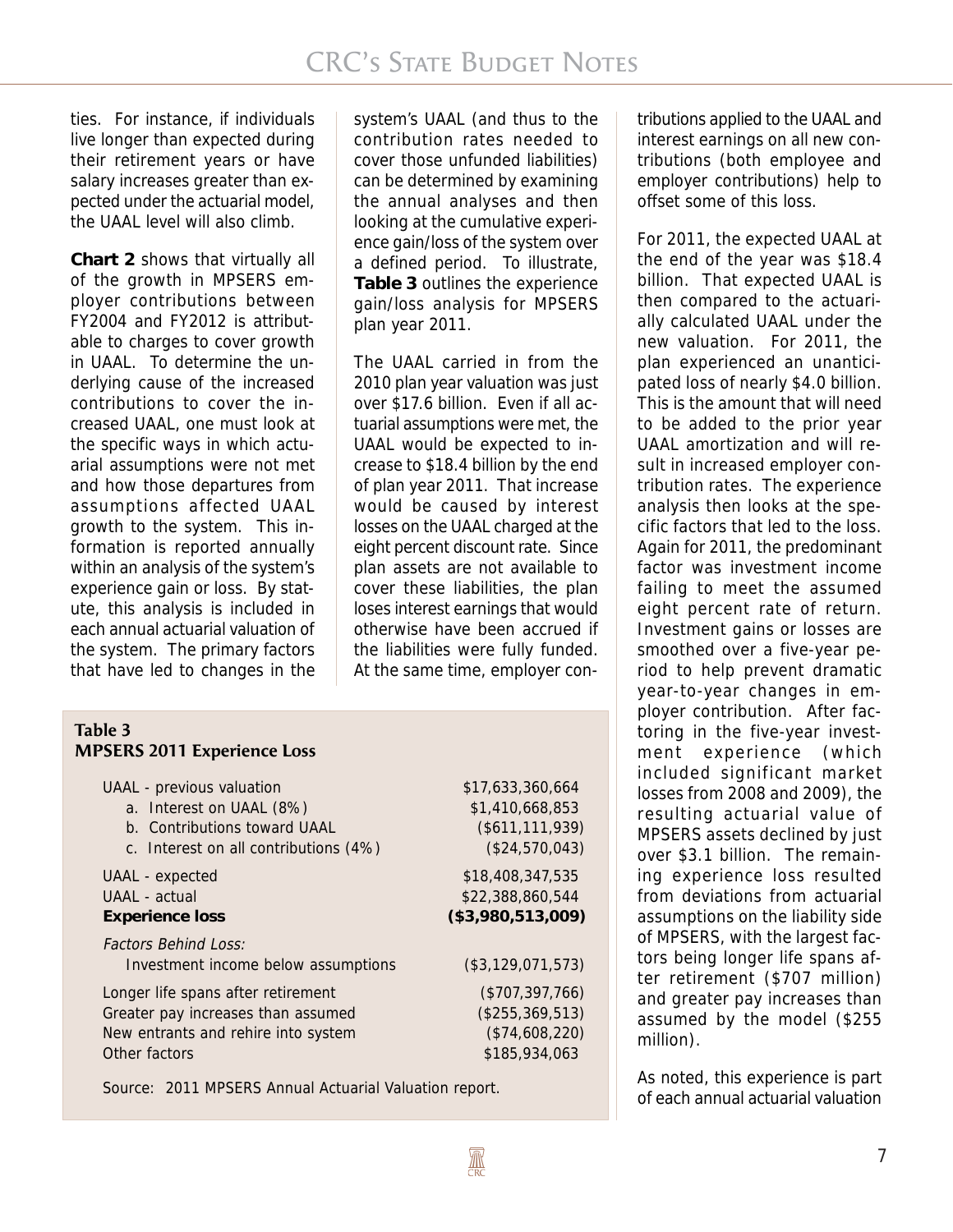ties. For instance, if individuals live longer than expected during their retirement years or have salary increases greater than expected under the actuarial model, the UAAL level will also climb.

**Chart 2** shows that virtually all of the growth in MPSERS employer contributions between FY2004 and FY2012 is attributable to charges to cover growth in UAAL. To determine the underlying cause of the increased contributions to cover the increased UAAL, one must look at the specific ways in which actuarial assumptions were not met and how those departures from assumptions affected UAAL growth to the system. This information is reported annually within an analysis of the system's experience gain or loss. By statute, this analysis is included in each annual actuarial valuation of the system. The primary factors that have led to changes in the

system's UAAL (and thus to the contribution rates needed to cover those unfunded liabilities) can be determined by examining the annual analyses and then looking at the cumulative experience gain/loss of the system over a defined period. To illustrate, **Table 3** outlines the experience gain/loss analysis for MPSERS plan year 2011.

The UAAL carried in from the 2010 plan year valuation was just over \$17.6 billion. Even if all actuarial assumptions were met, the UAAL would be expected to increase to \$18.4 billion by the end of plan year 2011. That increase would be caused by interest losses on the UAAL charged at the eight percent discount rate. Since plan assets are not available to cover these liabilities, the plan loses interest earnings that would otherwise have been accrued if the liabilities were fully funded. At the same time, employer con-

| Table 3 |                                    |
|---------|------------------------------------|
|         | <b>MPSERS 2011 Experience Loss</b> |

| UAAL - previous valuation             | \$17,633,360,664   |
|---------------------------------------|--------------------|
| a. Interest on UAAL (8%)              | \$1,410,668,853    |
| b. Contributions toward UAAL          | $($ \$611,111,939) |
| c. Interest on all contributions (4%) | (\$24,570,043)     |
| UAAL - expected                       | \$18,408,347,535   |
| UAAL - actual                         | \$22,388,860,544   |
| <b>Experience loss</b>                | (\$3,980,513,009)  |
| <b>Factors Behind Loss:</b>           |                    |
| Investment income below assumptions   | (\$3,129,071,573)  |
| Longer life spans after retirement    | (\$707,397,766)    |
| Greater pay increases than assumed    | (\$255,369,513)    |
| New entrants and rehire into system   | (\$74,608,220)     |
| Other factors                         | \$185,934,063      |
|                                       |                    |

Source: 2011 MPSERS Annual Actuarial Valuation report.

tributions applied to the UAAL and interest earnings on all new contributions (both employee and employer contributions) help to offset some of this loss.

For 2011, the expected UAAL at the end of the year was \$18.4 billion. That expected UAAL is then compared to the actuarially calculated UAAL under the new valuation. For 2011, the plan experienced an unanticipated loss of nearly \$4.0 billion. This is the amount that will need to be added to the prior year UAAL amortization and will result in increased employer contribution rates. The experience analysis then looks at the specific factors that led to the loss. Again for 2011, the predominant factor was investment income failing to meet the assumed eight percent rate of return. Investment gains or losses are smoothed over a five-year period to help prevent dramatic year-to-year changes in employer contribution. After factoring in the five-year investment experience (which included significant market losses from 2008 and 2009), the resulting actuarial value of MPSERS assets declined by just over \$3.1 billion. The remaining experience loss resulted from deviations from actuarial assumptions on the liability side of MPSERS, with the largest factors being longer life spans after retirement (\$707 million) and greater pay increases than assumed by the model (\$255 million).

As noted, this experience is part of each annual actuarial valuation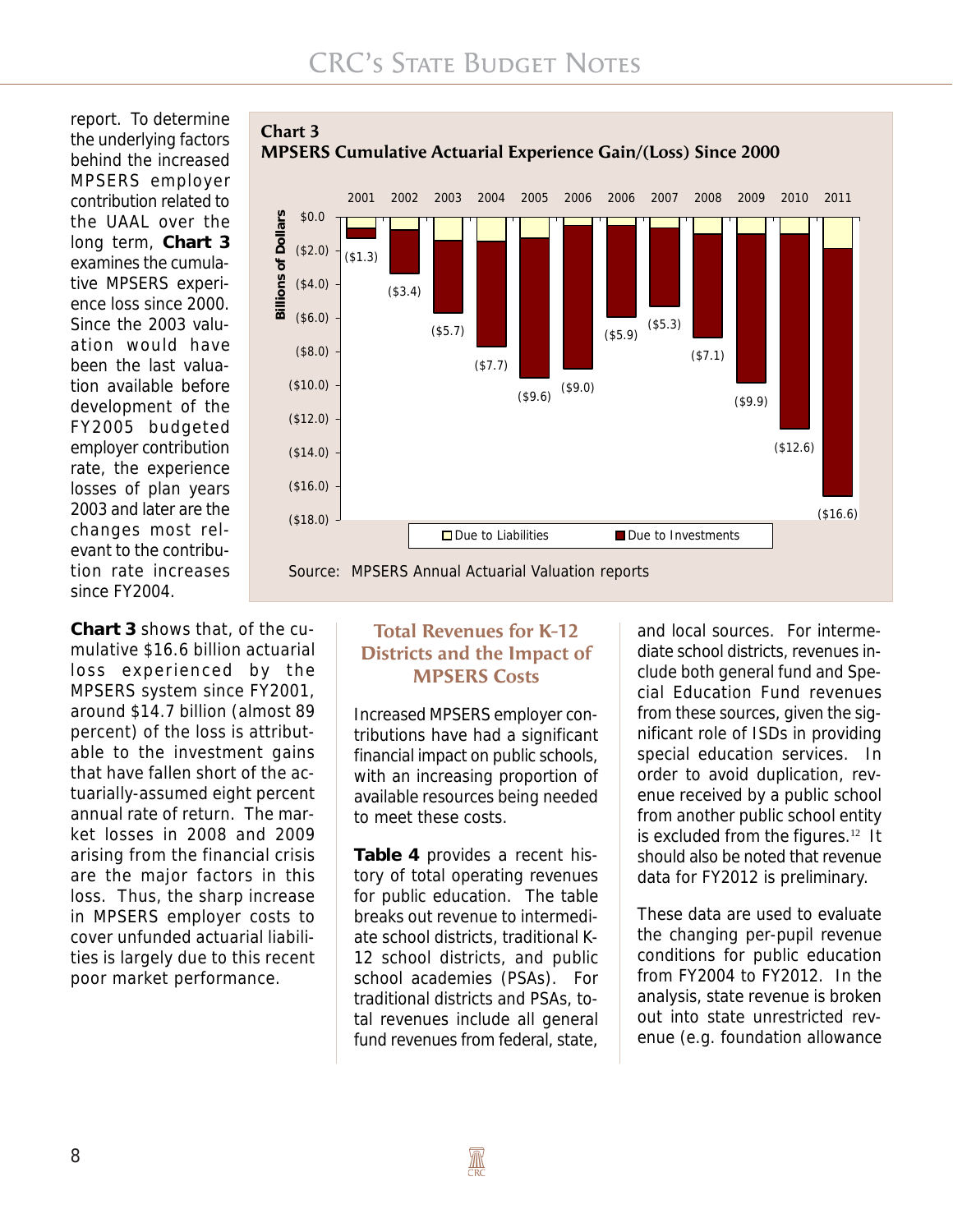report. To determine the underlying factors behind the increased MPSERS employer contribution related to the UAAL over the long term, **Chart 3** examines the cumulative MPSERS experience loss since 2000. Since the 2003 valuation would have been the last valuation available before development of the FY2005 budgeted employer contribution rate, the experience losses of plan years 2003 and later are the changes most relevant to the contribution rate increases since FY2004.



## **Chart 3**

**Chart 3** shows that, of the cumulative \$16.6 billion actuarial loss experienced by the MPSERS system since FY2001, around \$14.7 billion (almost 89 percent) of the loss is attributable to the investment gains that have fallen short of the actuarially-assumed eight percent annual rate of return. The market losses in 2008 and 2009 arising from the financial crisis are the major factors in this loss. Thus, the sharp increase in MPSERS employer costs to cover unfunded actuarial liabilities is largely due to this recent poor market performance.

#### **Total Revenues for K-12 Districts and the Impact of MPSERS Costs**

Increased MPSERS employer contributions have had a significant financial impact on public schools, with an increasing proportion of available resources being needed to meet these costs.

**Table 4** provides a recent history of total operating revenues for public education. The table breaks out revenue to intermediate school districts, traditional K-12 school districts, and public school academies (PSAs). For traditional districts and PSAs, total revenues include all general fund revenues from federal, state,

and local sources. For intermediate school districts, revenues include both general fund and Special Education Fund revenues from these sources, given the significant role of ISDs in providing special education services. In order to avoid duplication, revenue received by a public school from another public school entity is excluded from the figures.<sup>12</sup> It should also be noted that revenue data for FY2012 is preliminary.

These data are used to evaluate the changing per-pupil revenue conditions for public education from FY2004 to FY2012. In the analysis, state revenue is broken out into state unrestricted revenue (e.g. foundation allowance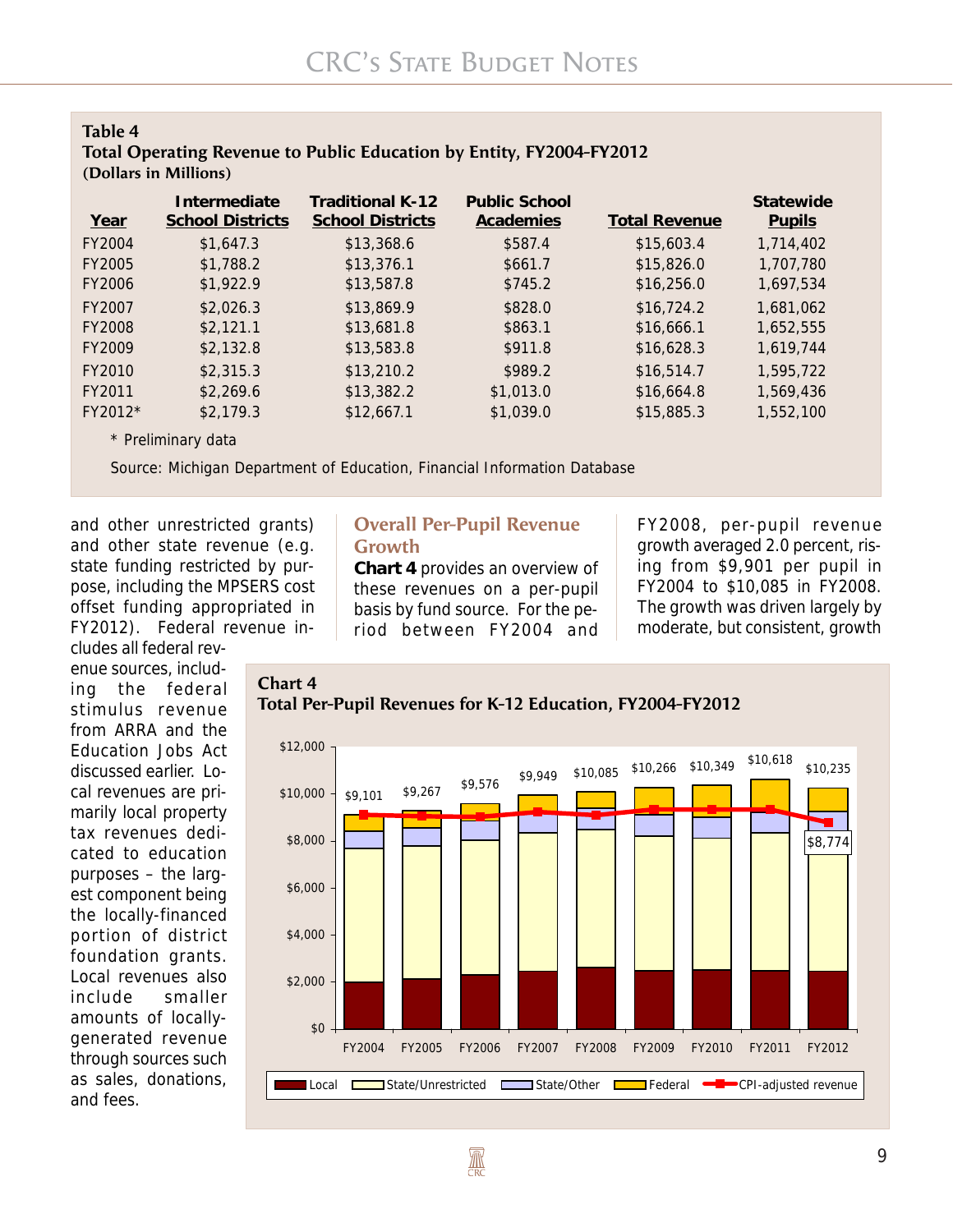| Table 4                                                              |  |
|----------------------------------------------------------------------|--|
| Total Operating Revenue to Public Education by Entity, FY2004-FY2012 |  |
| (Dollars in Millions)                                                |  |

| Year      | Intermediate<br><b>School Districts</b> | <b>Traditional K-12</b><br><b>School Districts</b> | <b>Public School</b><br><b>Academies</b> | <b>Total Revenue</b> | <b>Statewide</b><br><b>Pupils</b> |
|-----------|-----------------------------------------|----------------------------------------------------|------------------------------------------|----------------------|-----------------------------------|
| FY2004    | \$1.647.3                               | \$13,368.6                                         | \$587.4                                  | \$15,603.4           | 1,714,402                         |
| FY2005    | \$1,788.2                               | \$13,376.1                                         | \$661.7                                  | \$15,826.0           | 1,707,780                         |
| FY2006    | \$1,922.9                               | \$13,587.8                                         | \$745.2                                  | \$16,256.0           | 1,697,534                         |
| FY2007    | \$2,026.3                               | \$13,869.9                                         | \$828.0                                  | \$16,724.2           | 1,681,062                         |
| FY2008    | \$2,121.1                               | \$13,681.8                                         | \$863.1                                  | \$16,666.1           | 1,652,555                         |
| FY2009    | \$2,132.8                               | \$13,583.8                                         | \$911.8                                  | \$16,628.3           | 1,619,744                         |
| FY2010    | \$2,315.3                               | \$13,210.2                                         | \$989.2                                  | \$16,514.7           | 1,595,722                         |
| FY2011    | \$2,269.6                               | \$13,382.2                                         | \$1,013.0                                | \$16,664.8           | 1,569,436                         |
| $FY2012*$ | \$2,179.3                               | \$12,667.1                                         | \$1,039.0                                | \$15,885.3           | 1,552,100                         |

\* Preliminary data

Source: Michigan Department of Education, Financial Information Database

and other unrestricted grants) and other state revenue (e.g. state funding restricted by purpose, including the MPSERS cost offset funding appropriated in FY2012). Federal revenue in-

cludes all federal revenue sources, including the federal stimulus revenue from ARRA and the Education Jobs Act discussed earlier. Local revenues are primarily local property tax revenues dedicated to education purposes – the largest component being the locally-financed portion of district foundation grants. Local revenues also include smaller amounts of locallygenerated revenue through sources such as sales, donations, and fees.

#### **Overall Per-Pupil Revenue Growth**

**Chart 4** provides an overview of these revenues on a per-pupil basis by fund source. For the period between FY2004 and

FY2008, per-pupil revenue growth averaged 2.0 percent, rising from \$9,901 per pupil in FY2004 to \$10,085 in FY2008. The growth was driven largely by moderate, but consistent, growth



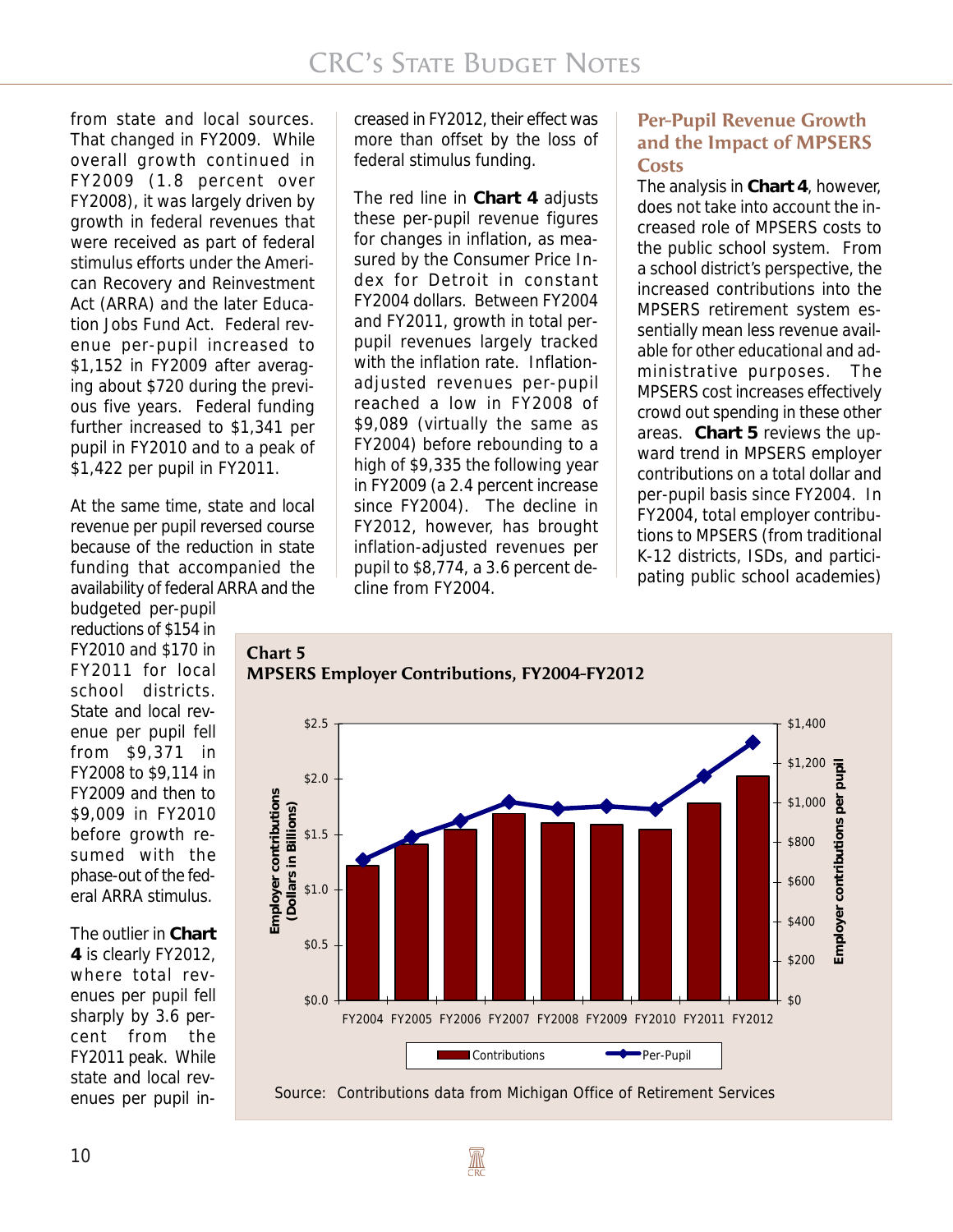from state and local sources. That changed in FY2009. While overall growth continued in FY2009 (1.8 percent over FY2008), it was largely driven by growth in federal revenues that were received as part of federal stimulus efforts under the American Recovery and Reinvestment Act (ARRA) and the later Education Jobs Fund Act. Federal revenue per-pupil increased to \$1,152 in FY2009 after averaging about \$720 during the previous five years. Federal funding further increased to \$1,341 per pupil in FY2010 and to a peak of \$1,422 per pupil in FY2011.

At the same time, state and local revenue per pupil reversed course because of the reduction in state funding that accompanied the availability of federal ARRA and the

budgeted per-pupil reductions of \$154 in FY2010 and \$170 in FY2011 for local school districts. State and local revenue per pupil fell from \$9,371 in FY2008 to \$9,114 in FY2009 and then to \$9,009 in FY2010 before growth resumed with the phase-out of the federal ARRA stimulus.

The outlier in **Chart 4** is clearly FY2012, where total revenues per pupil fell sharply by 3.6 percent from the FY2011 peak. While state and local revenues per pupil increased in FY2012, their effect was more than offset by the loss of federal stimulus funding.

The red line in **Chart 4** adjusts these per-pupil revenue figures for changes in inflation, as measured by the Consumer Price Index for Detroit in constant FY2004 dollars. Between FY2004 and FY2011, growth in total perpupil revenues largely tracked with the inflation rate. Inflationadjusted revenues per-pupil reached a low in FY2008 of \$9,089 (virtually the same as FY2004) before rebounding to a high of \$9,335 the following year in FY2009 (a 2.4 percent increase since FY2004). The decline in FY2012, however, has brought inflation-adjusted revenues per pupil to \$8,774, a 3.6 percent decline from FY2004.

## **Per-Pupil Revenue Growth and the Impact of MPSERS Costs**

The analysis in **Chart 4**, however, does not take into account the increased role of MPSERS costs to the public school system. From a school district's perspective, the increased contributions into the MPSERS retirement system essentially mean less revenue available for other educational and administrative purposes. The MPSERS cost increases effectively crowd out spending in these other areas. **Chart 5** reviews the upward trend in MPSERS employer contributions on a total dollar and per-pupil basis since FY2004. In FY2004, total employer contributions to MPSERS (from traditional K-12 districts, ISDs, and participating public school academies)







**A**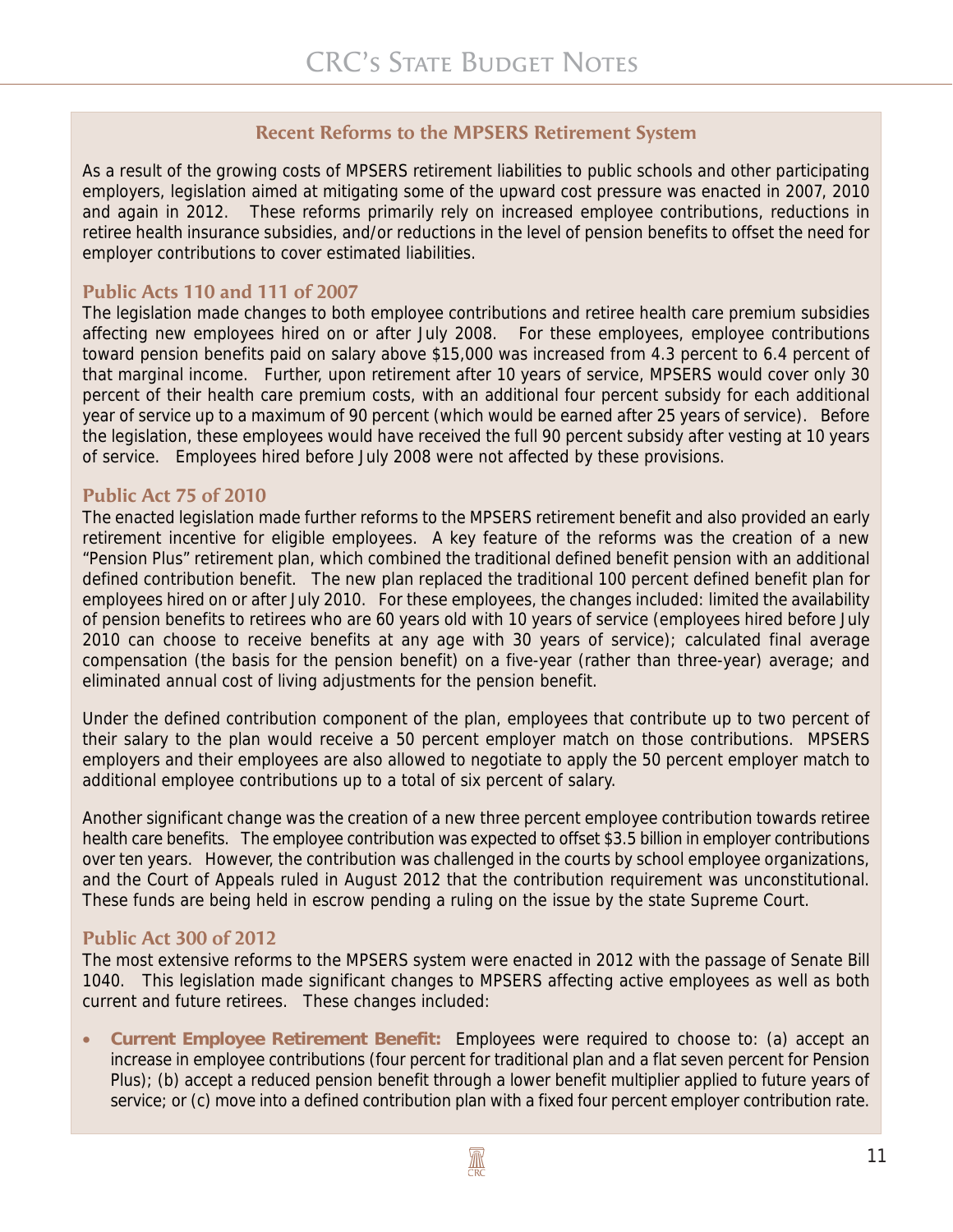## **Recent Reforms to the MPSERS Retirement System**

As a result of the growing costs of MPSERS retirement liabilities to public schools and other participating employers, legislation aimed at mitigating some of the upward cost pressure was enacted in 2007, 2010 and again in 2012. These reforms primarily rely on increased employee contributions, reductions in retiree health insurance subsidies, and/or reductions in the level of pension benefits to offset the need for employer contributions to cover estimated liabilities.

#### **Public Acts 110 and 111 of 2007**

The legislation made changes to both employee contributions and retiree health care premium subsidies affecting new employees hired on or after July 2008. For these employees, employee contributions toward pension benefits paid on salary above \$15,000 was increased from 4.3 percent to 6.4 percent of that marginal income. Further, upon retirement after 10 years of service, MPSERS would cover only 30 percent of their health care premium costs, with an additional four percent subsidy for each additional year of service up to a maximum of 90 percent (which would be earned after 25 years of service). Before the legislation, these employees would have received the full 90 percent subsidy after vesting at 10 years of service. Employees hired before July 2008 were not affected by these provisions.

#### **Public Act 75 of 2010**

The enacted legislation made further reforms to the MPSERS retirement benefit and also provided an early retirement incentive for eligible employees. A key feature of the reforms was the creation of a new "Pension Plus" retirement plan, which combined the traditional defined benefit pension with an additional defined contribution benefit. The new plan replaced the traditional 100 percent defined benefit plan for employees hired on or after July 2010. For these employees, the changes included: limited the availability of pension benefits to retirees who are 60 years old with 10 years of service (employees hired before July 2010 can choose to receive benefits at any age with 30 years of service); calculated final average compensation (the basis for the pension benefit) on a five-year (rather than three-year) average; and eliminated annual cost of living adjustments for the pension benefit.

Under the defined contribution component of the plan, employees that contribute up to two percent of their salary to the plan would receive a 50 percent employer match on those contributions. MPSERS employers and their employees are also allowed to negotiate to apply the 50 percent employer match to additional employee contributions up to a total of six percent of salary.

Another significant change was the creation of a new three percent employee contribution towards retiree health care benefits. The employee contribution was expected to offset \$3.5 billion in employer contributions over ten years. However, the contribution was challenged in the courts by school employee organizations, and the Court of Appeals ruled in August 2012 that the contribution requirement was unconstitutional. These funds are being held in escrow pending a ruling on the issue by the state Supreme Court.

### **Public Act 300 of 2012**

The most extensive reforms to the MPSERS system were enacted in 2012 with the passage of Senate Bill 1040. This legislation made significant changes to MPSERS affecting active employees as well as both current and future retirees. These changes included:

• **Current Employee Retirement Benefit:** Employees were required to choose to: (a) accept an increase in employee contributions (four percent for traditional plan and a flat seven percent for Pension Plus); (b) accept a reduced pension benefit through a lower benefit multiplier applied to future years of service; or (c) move into a defined contribution plan with a fixed four percent employer contribution rate.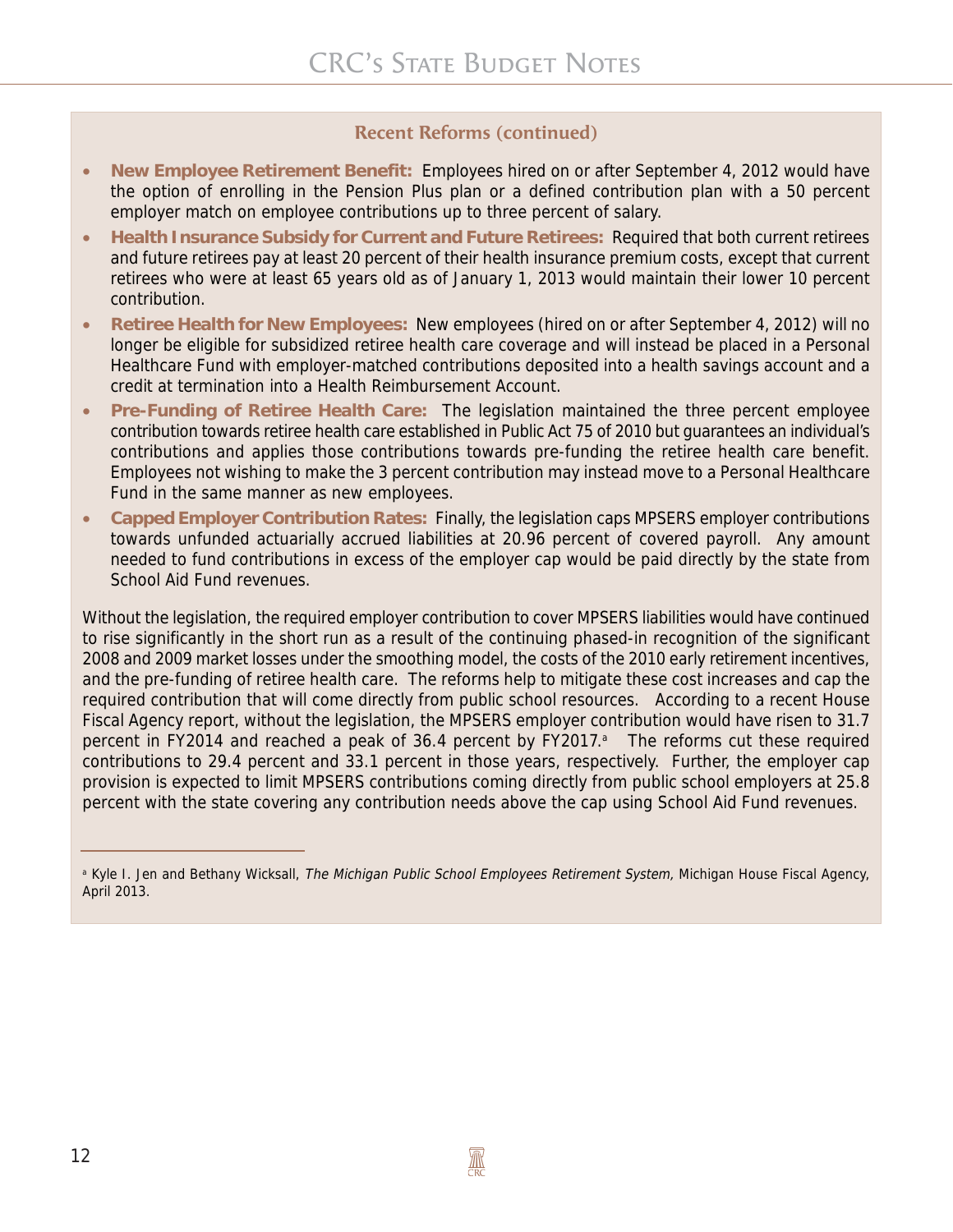### **Recent Reforms (continued)**

- **New Employee Retirement Benefit:** Employees hired on or after September 4, 2012 would have the option of enrolling in the Pension Plus plan or a defined contribution plan with a 50 percent employer match on employee contributions up to three percent of salary.
- **Health Insurance Subsidy for Current and Future Retirees:** Required that both current retirees and future retirees pay at least 20 percent of their health insurance premium costs, except that current retirees who were at least 65 years old as of January 1, 2013 would maintain their lower 10 percent contribution.
- **Retiree Health for New Employees:** New employees (hired on or after September 4, 2012) will no longer be eligible for subsidized retiree health care coverage and will instead be placed in a Personal Healthcare Fund with employer-matched contributions deposited into a health savings account and a credit at termination into a Health Reimbursement Account.
- **Pre-Funding of Retiree Health Care:** The legislation maintained the three percent employee contribution towards retiree health care established in Public Act 75 of 2010 but guarantees an individual's contributions and applies those contributions towards pre-funding the retiree health care benefit. Employees not wishing to make the 3 percent contribution may instead move to a Personal Healthcare Fund in the same manner as new employees.
- **Capped Employer Contribution Rates:** Finally, the legislation caps MPSERS employer contributions towards unfunded actuarially accrued liabilities at 20.96 percent of covered payroll. Any amount needed to fund contributions in excess of the employer cap would be paid directly by the state from School Aid Fund revenues.

Without the legislation, the required employer contribution to cover MPSERS liabilities would have continued to rise significantly in the short run as a result of the continuing phased-in recognition of the significant 2008 and 2009 market losses under the smoothing model, the costs of the 2010 early retirement incentives, and the pre-funding of retiree health care. The reforms help to mitigate these cost increases and cap the required contribution that will come directly from public school resources. According to a recent House Fiscal Agency report, without the legislation, the MPSERS employer contribution would have risen to 31.7 percent in FY2014 and reached a peak of 36.4 percent by FY2017.<sup>a</sup> The reforms cut these required contributions to 29.4 percent and 33.1 percent in those years, respectively. Further, the employer cap provision is expected to limit MPSERS contributions coming directly from public school employers at 25.8 percent with the state covering any contribution needs above the cap using School Aid Fund revenues.

<sup>&</sup>lt;sup>a</sup> Kyle I. Jen and Bethany Wicksall, The Michigan Public School Employees Retirement System, Michigan House Fiscal Agency, April 2013.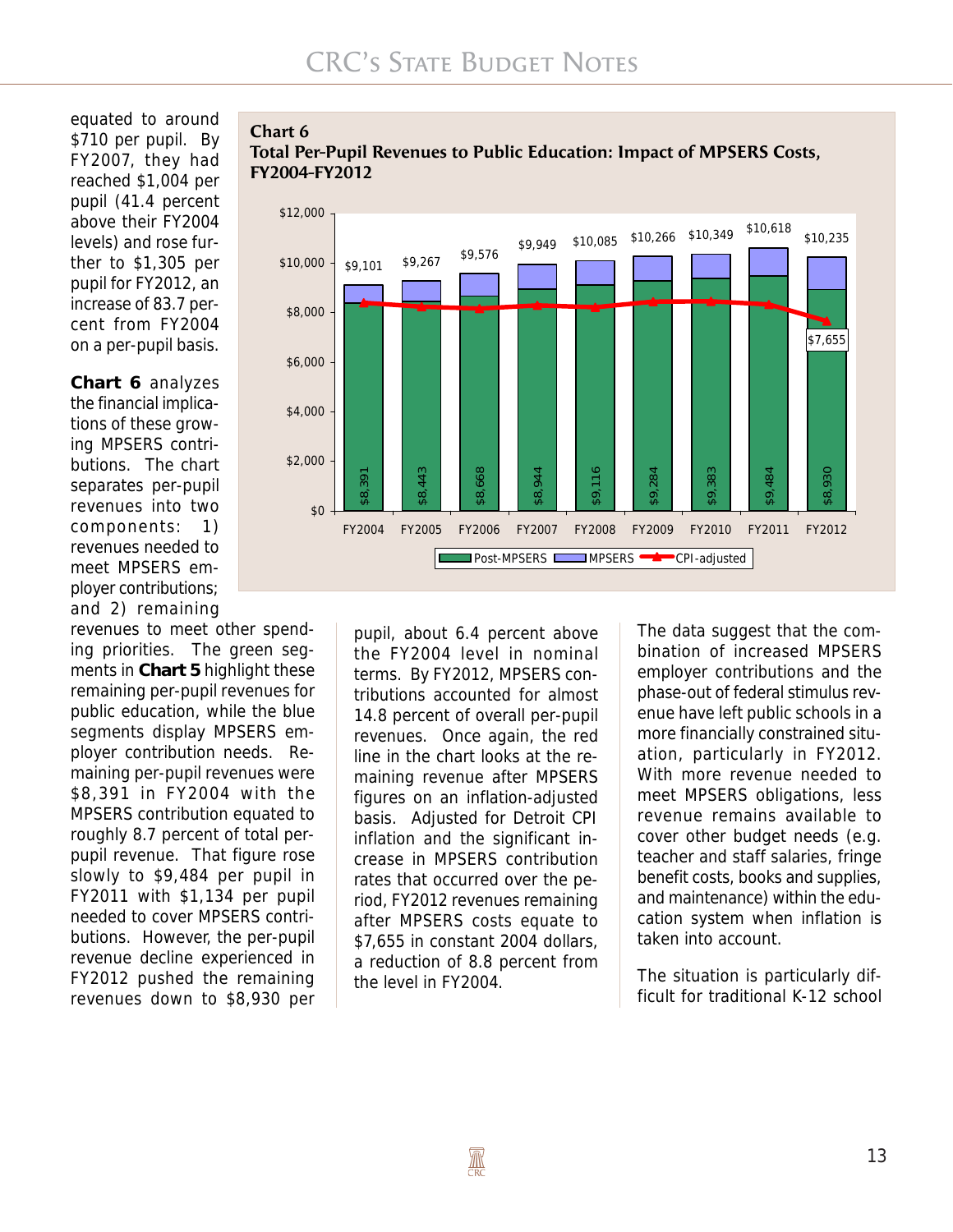#### equated to around \$710 per pupil. By FY2007, they had reached \$1,004 per pupil (41.4 percent above their FY2004 levels) and rose further to \$1,305 per pupil for FY2012, an increase of 83.7 percent from FY2004 on a per-pupil basis.

**Chart 6** analyzes the financial implications of these growing MPSERS contributions. The chart separates per-pupil revenues into two components: 1) revenues needed to meet MPSERS employer contributions; and 2) remaining

revenues to meet other spending priorities. The green segments in **Chart 5** highlight these remaining per-pupil revenues for public education, while the blue segments display MPSERS employer contribution needs. Remaining per-pupil revenues were \$8,391 in FY2004 with the MPSERS contribution equated to roughly 8.7 percent of total perpupil revenue. That figure rose slowly to \$9,484 per pupil in FY2011 with \$1,134 per pupil needed to cover MPSERS contributions. However, the per-pupil revenue decline experienced in FY2012 pushed the remaining revenues down to \$8,930 per

#### **Chart 6 Total Per-Pupil Revenues to Public Education: Impact of MPSERS Costs, FY2004-FY2012**



pupil, about 6.4 percent above the FY2004 level in nominal terms. By FY2012, MPSERS contributions accounted for almost 14.8 percent of overall per-pupil revenues. Once again, the red line in the chart looks at the remaining revenue after MPSERS figures on an inflation-adjusted basis. Adjusted for Detroit CPI inflation and the significant increase in MPSERS contribution rates that occurred over the period, FY2012 revenues remaining after MPSERS costs equate to \$7,655 in constant 2004 dollars, a reduction of 8.8 percent from the level in FY2004.

The data suggest that the combination of increased MPSERS employer contributions and the phase-out of federal stimulus revenue have left public schools in a more financially constrained situation, particularly in FY2012. With more revenue needed to meet MPSERS obligations, less revenue remains available to cover other budget needs (e.g. teacher and staff salaries, fringe benefit costs, books and supplies, and maintenance) within the education system when inflation is taken into account.

The situation is particularly difficult for traditional K-12 school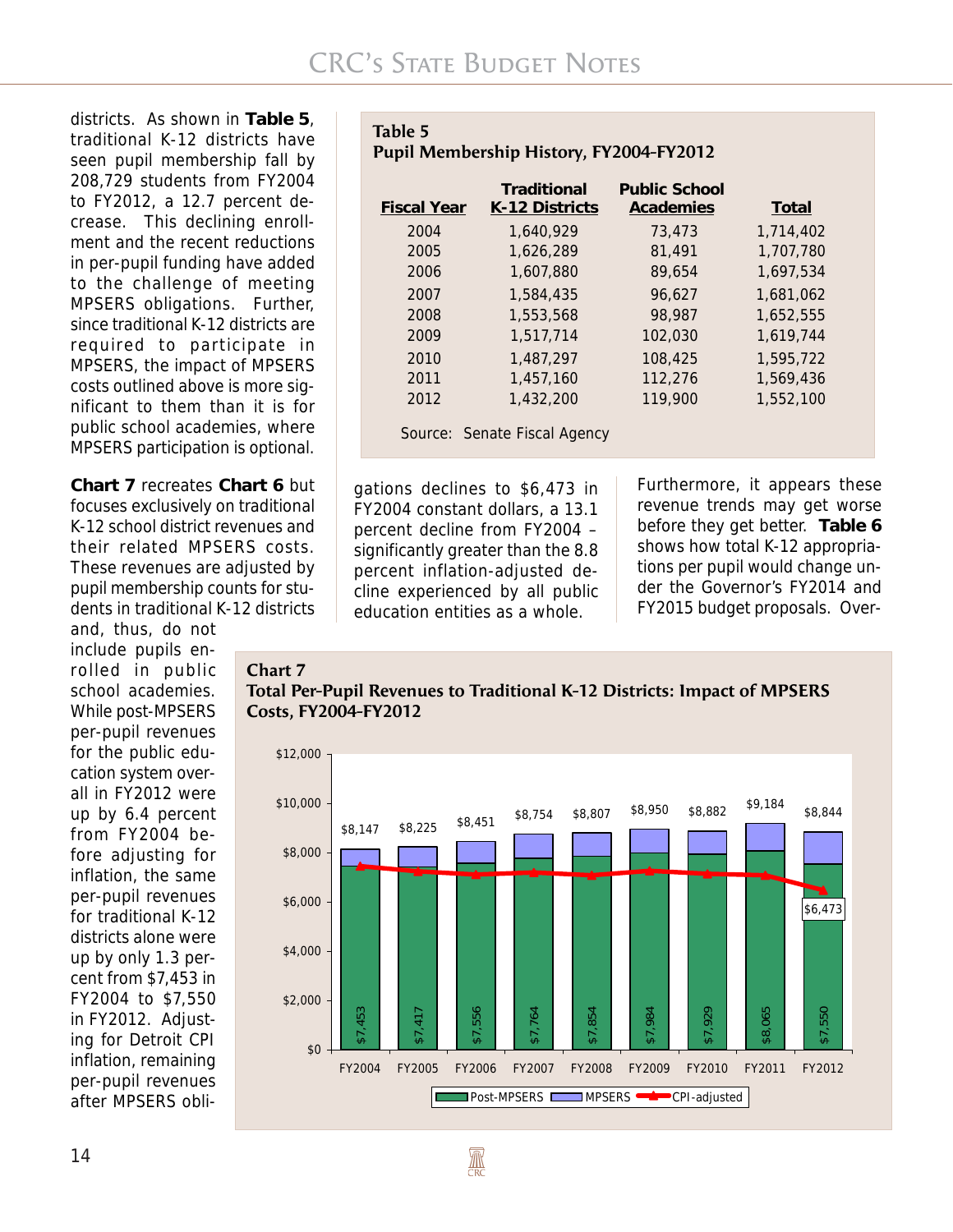districts. As shown in **Table 5**, traditional K-12 districts have seen pupil membership fall by 208,729 students from FY2004 to FY2012, a 12.7 percent decrease. This declining enrollment and the recent reductions in per-pupil funding have added to the challenge of meeting MPSERS obligations. Further, since traditional K-12 districts are required to participate in MPSERS, the impact of MPSERS costs outlined above is more significant to them than it is for public school academies, where MPSERS participation is optional.

**Chart 7** recreates **Chart 6** but focuses exclusively on traditional K-12 school district revenues and their related MPSERS costs. These revenues are adjusted by pupil membership counts for students in traditional K-12 districts

and, thus, do not include pupils enrolled in public school academies. While post-MPSERS per-pupil revenues for the public education system overall in FY2012 were up by 6.4 percent from FY2004 before adjusting for inflation, the same per-pupil revenues for traditional K-12 districts alone were up by only 1.3 percent from \$7,453 in FY2004 to \$7,550 in FY2012. Adjusting for Detroit CPI inflation, remaining per-pupil revenues after MPSERS obli-

| Table 5<br>Pupil Membership History, FY2004-FY2012       |                                                             |                           |  |  |  |
|----------------------------------------------------------|-------------------------------------------------------------|---------------------------|--|--|--|
| $\Gamma$ : $\sim$ $\sim$ $\Gamma$ M $\sim$ $\sim$ $\sim$ | Traditional<br>$\mathbf{V}$ and $\mathbf{N}$ : $\mathbf{L}$ | <b>Public School</b><br>A |  |  |  |

| <b>Fiscal Year</b> | K-12 Districts               | Academies | Total     |
|--------------------|------------------------------|-----------|-----------|
| 2004               | 1,640,929                    | 73,473    | 1,714,402 |
| 2005               | 1.626.289                    | 81,491    | 1,707,780 |
| 2006               | 1.607.880                    | 89.654    | 1,697,534 |
| 2007               | 1,584,435                    | 96.627    | 1,681,062 |
| 2008               | 1.553.568                    | 98,987    | 1,652,555 |
| 2009               | 1,517,714                    | 102,030   | 1.619.744 |
| 2010               | 1,487,297                    | 108,425   | 1,595,722 |
| 2011               | 1.457.160                    | 112,276   | 1,569,436 |
| 2012               | 1.432.200                    | 119,900   | 1,552,100 |
|                    | Source: Senate Fiscal Agency |           |           |

gations declines to \$6,473 in FY2004 constant dollars, a 13.1 percent decline from FY2004 – significantly greater than the 8.8 percent inflation-adjusted decline experienced by all public education entities as a whole.

**AN** 

Furthermore, it appears these revenue trends may get worse before they get better. **Table 6** shows how total K-12 appropriations per pupil would change under the Governor's FY2014 and FY2015 budget proposals. Over-

#### **Chart 7**



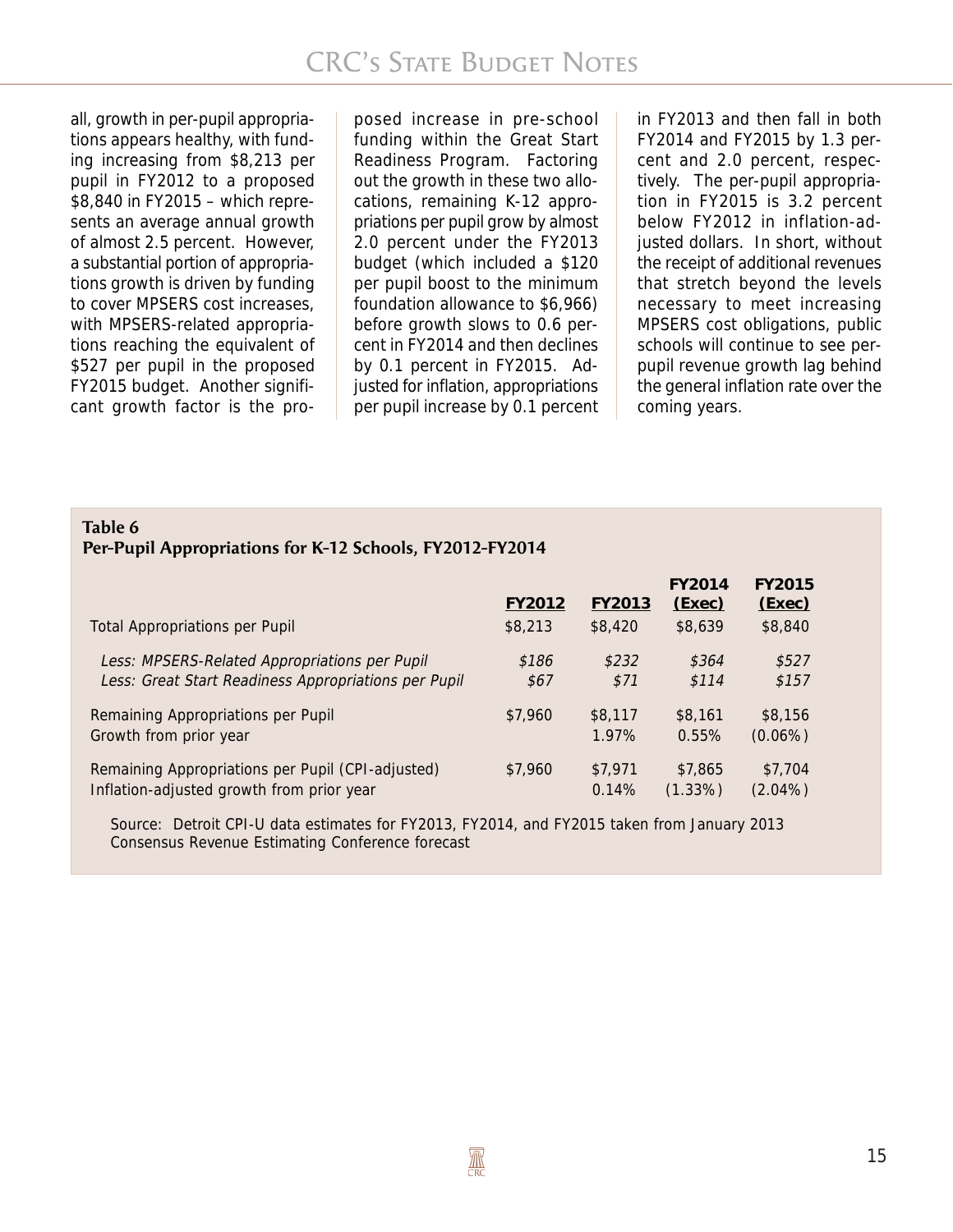all, growth in per-pupil appropriations appears healthy, with funding increasing from \$8,213 per pupil in FY2012 to a proposed \$8,840 in FY2015 – which represents an average annual growth of almost 2.5 percent. However, a substantial portion of appropriations growth is driven by funding to cover MPSERS cost increases, with MPSERS-related appropriations reaching the equivalent of \$527 per pupil in the proposed FY2015 budget. Another significant growth factor is the pro-

posed increase in pre-school funding within the Great Start Readiness Program. Factoring out the growth in these two allocations, remaining K-12 appropriations per pupil grow by almost 2.0 percent under the FY2013 budget (which included a \$120 per pupil boost to the minimum foundation allowance to \$6,966) before growth slows to 0.6 percent in FY2014 and then declines by 0.1 percent in FY2015. Adjusted for inflation, appropriations per pupil increase by 0.1 percent

in FY2013 and then fall in both FY2014 and FY2015 by 1.3 percent and 2.0 percent, respectively. The per-pupil appropriation in FY2015 is 3.2 percent below FY2012 in inflation-adjusted dollars. In short, without the receipt of additional revenues that stretch beyond the levels necessary to meet increasing MPSERS cost obligations, public schools will continue to see perpupil revenue growth lag behind the general inflation rate over the coming years.

#### **Table 6 Per-Pupil Appropriations for K-12 Schools, FY2012-FY2014**

|                                                      | FY2012  | FY2013  | FY2014<br>(Exec) | <b>FY2015</b><br>(Exec) |
|------------------------------------------------------|---------|---------|------------------|-------------------------|
| <b>Total Appropriations per Pupil</b>                | \$8,213 | \$8,420 | \$8,639          | \$8,840                 |
| Less: MPSERS-Related Appropriations per Pupil        | \$186   | \$232   | \$364            | \$527                   |
| Less: Great Start Readiness Appropriations per Pupil | \$67    | \$71    | \$114            | \$157                   |
| Remaining Appropriations per Pupil                   | \$7,960 | \$8,117 | \$8,161          | \$8,156                 |
| Growth from prior year                               |         | 1.97%   | 0.55%            | $(0.06\%)$              |
| Remaining Appropriations per Pupil (CPI-adjusted)    | \$7,960 | \$7,971 | \$7,865          | \$7,704                 |
| Inflation-adjusted growth from prior year            |         | 0.14%   | $(1.33\%)$       | $(2.04\%)$              |

Source: Detroit CPI-U data estimates for FY2013, FY2014, and FY2015 taken from January 2013 Consensus Revenue Estimating Conference forecast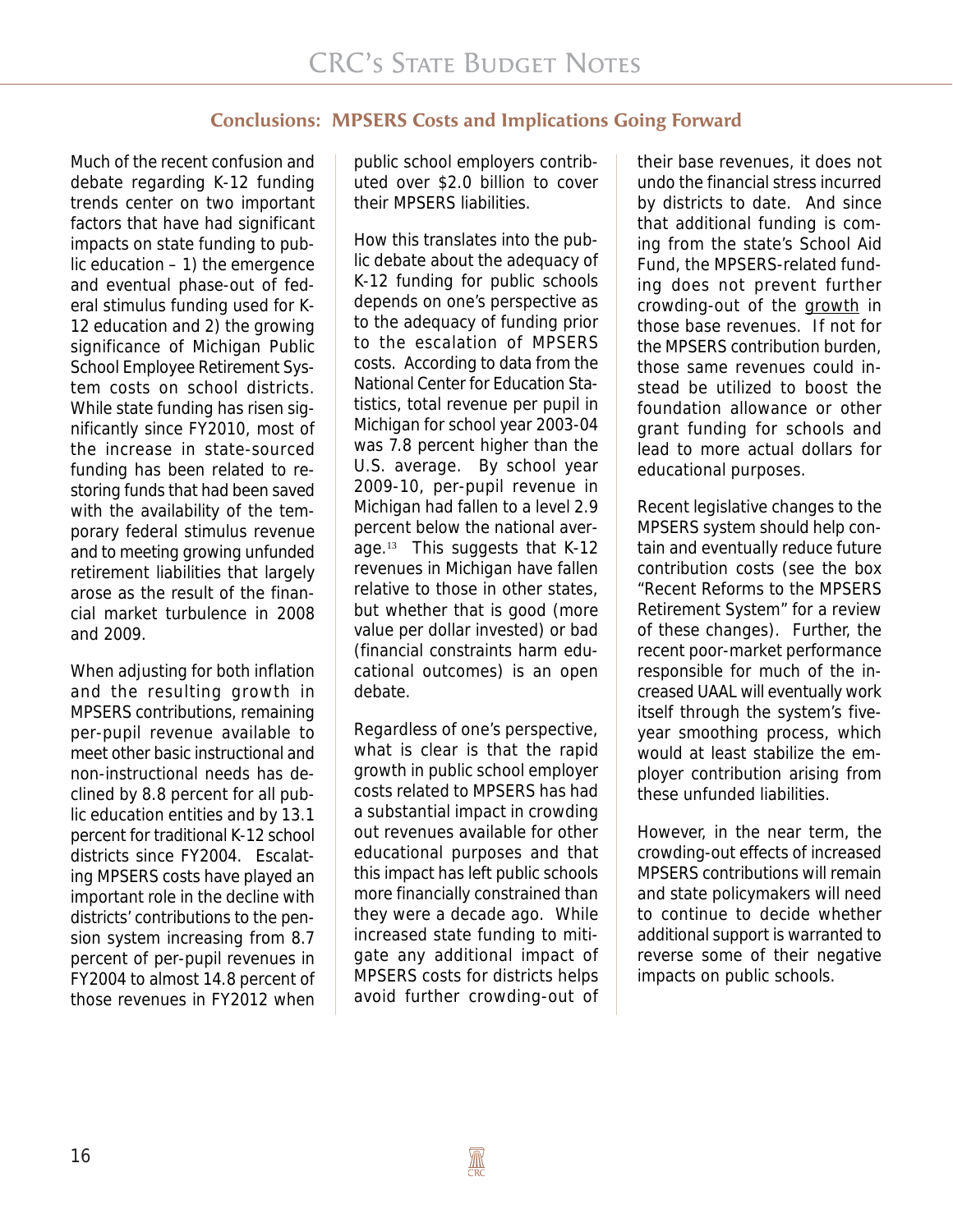## **Conclusions: MPSERS Costs and Implications Going Forward**

Much of the recent confusion and debate regarding K-12 funding trends center on two important factors that have had significant impacts on state funding to public education  $-1$ ) the emergence and eventual phase-out of federal stimulus funding used for K-12 education and 2) the growing significance of Michigan Public School Employee Retirement System costs on school districts. While state funding has risen significantly since FY2010, most of the increase in state-sourced funding has been related to restoring funds that had been saved with the availability of the temporary federal stimulus revenue and to meeting growing unfunded retirement liabilities that largely arose as the result of the financial market turbulence in 2008 and 2009.

When adjusting for both inflation and the resulting growth in MPSERS contributions, remaining per-pupil revenue available to meet other basic instructional and non-instructional needs has declined by 8.8 percent for all public education entities and by 13.1 percent for traditional K-12 school districts since FY2004. Escalating MPSERS costs have played an important role in the decline with districts' contributions to the pension system increasing from 8.7 percent of per-pupil revenues in FY2004 to almost 14.8 percent of those revenues in FY2012 when public school employers contributed over \$2.0 billion to cover their MPSERS liabilities.

How this translates into the public debate about the adequacy of K-12 funding for public schools depends on one's perspective as to the adequacy of funding prior to the escalation of MPSERS costs. According to data from the National Center for Education Statistics, total revenue per pupil in Michigan for school year 2003-04 was 7.8 percent higher than the U.S. average. By school year 2009-10, per-pupil revenue in Michigan had fallen to a level 2.9 percent below the national average.13 This suggests that K-12 revenues in Michigan have fallen relative to those in other states, but whether that is good (more value per dollar invested) or bad (financial constraints harm educational outcomes) is an open debate.

Regardless of one's perspective, what is clear is that the rapid growth in public school employer costs related to MPSERS has had a substantial impact in crowding out revenues available for other educational purposes and that this impact has left public schools more financially constrained than they were a decade ago. While increased state funding to mitigate any additional impact of MPSERS costs for districts helps avoid further crowding-out of

their base revenues, it does not undo the financial stress incurred by districts to date. And since that additional funding is coming from the state's School Aid Fund, the MPSERS-related funding does not prevent further crowding-out of the growth in those base revenues. If not for the MPSERS contribution burden, those same revenues could instead be utilized to boost the foundation allowance or other grant funding for schools and lead to more actual dollars for educational purposes.

Recent legislative changes to the MPSERS system should help contain and eventually reduce future contribution costs (see the box "Recent Reforms to the MPSERS Retirement System" for a review of these changes). Further, the recent poor-market performance responsible for much of the increased UAAL will eventually work itself through the system's fiveyear smoothing process, which would at least stabilize the employer contribution arising from these unfunded liabilities.

However, in the near term, the crowding-out effects of increased MPSERS contributions will remain and state policymakers will need to continue to decide whether additional support is warranted to reverse some of their negative impacts on public schools.